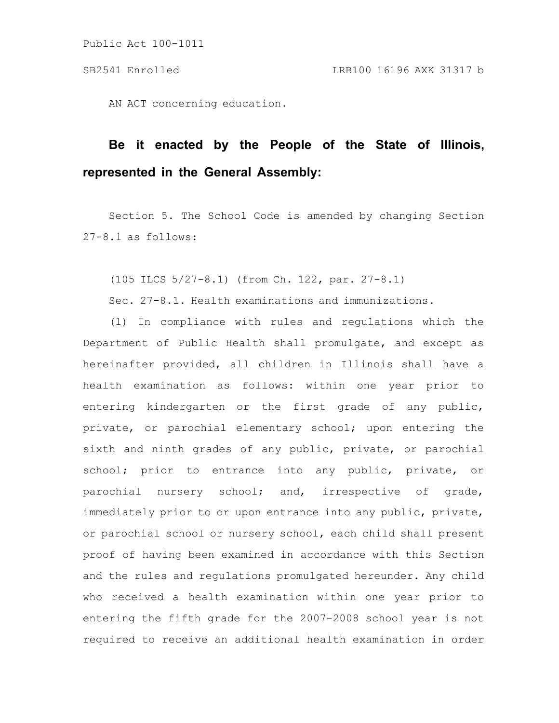AN ACT concerning education.

# **Be it enacted by the People of the State of Illinois, represented in the General Assembly:**

Section 5. The School Code is amended by changing Section 27-8.1 as follows:

(105 ILCS 5/27-8.1) (from Ch. 122, par. 27-8.1)

Sec. 27-8.1. Health examinations and immunizations.

(1) In compliance with rules and regulations which the Department of Public Health shall promulgate, and except as hereinafter provided, all children in Illinois shall have a health examination as follows: within one year prior to entering kindergarten or the first grade of any public, private, or parochial elementary school; upon entering the sixth and ninth grades of any public, private, or parochial school; prior to entrance into any public, private, or parochial nursery school; and, irrespective of grade, immediately prior to or upon entrance into any public, private, or parochial school or nursery school, each child shall present proof of having been examined in accordance with this Section and the rules and regulations promulgated hereunder. Any child who received a health examination within one year prior to entering the fifth grade for the 2007-2008 school year is not required to receive an additional health examination in order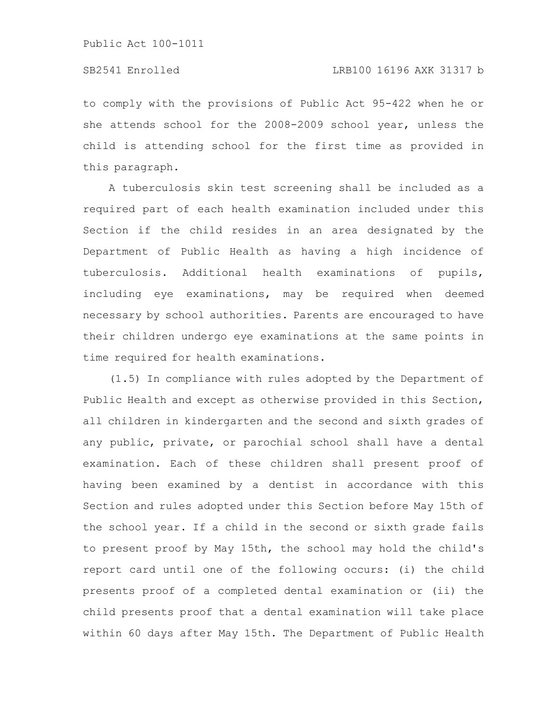to comply with the provisions of Public Act 95-422 when he or she attends school for the 2008-2009 school year, unless the child is attending school for the first time as provided in this paragraph.

A tuberculosis skin test screening shall be included as a required part of each health examination included under this Section if the child resides in an area designated by the Department of Public Health as having a high incidence of tuberculosis. Additional health examinations of pupils, including eye examinations, may be required when deemed necessary by school authorities. Parents are encouraged to have their children undergo eye examinations at the same points in time required for health examinations.

(1.5) In compliance with rules adopted by the Department of Public Health and except as otherwise provided in this Section, all children in kindergarten and the second and sixth grades of any public, private, or parochial school shall have a dental examination. Each of these children shall present proof of having been examined by a dentist in accordance with this Section and rules adopted under this Section before May 15th of the school year. If a child in the second or sixth grade fails to present proof by May 15th, the school may hold the child's report card until one of the following occurs: (i) the child presents proof of a completed dental examination or (ii) the child presents proof that a dental examination will take place within 60 days after May 15th. The Department of Public Health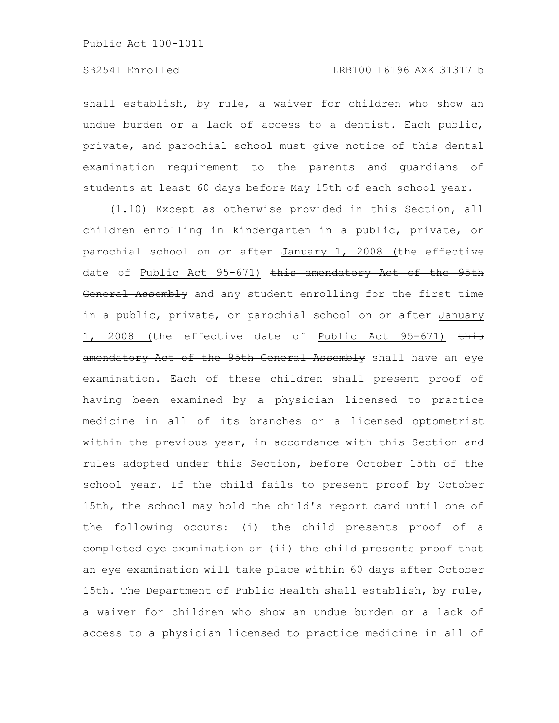shall establish, by rule, a waiver for children who show an undue burden or a lack of access to a dentist. Each public, private, and parochial school must give notice of this dental examination requirement to the parents and guardians of students at least 60 days before May 15th of each school year.

(1.10) Except as otherwise provided in this Section, all children enrolling in kindergarten in a public, private, or parochial school on or after January 1, 2008 (the effective date of Public Act 95-671) this amendatory Act of the 95th General Assembly and any student enrolling for the first time in a public, private, or parochial school on or after January 1, 2008 (the effective date of Public Act 95-671) this amendatory Act of the 95th General Assembly shall have an eye examination. Each of these children shall present proof of having been examined by a physician licensed to practice medicine in all of its branches or a licensed optometrist within the previous year, in accordance with this Section and rules adopted under this Section, before October 15th of the school year. If the child fails to present proof by October 15th, the school may hold the child's report card until one of the following occurs: (i) the child presents proof of a completed eye examination or (ii) the child presents proof that an eye examination will take place within 60 days after October 15th. The Department of Public Health shall establish, by rule, a waiver for children who show an undue burden or a lack of access to a physician licensed to practice medicine in all of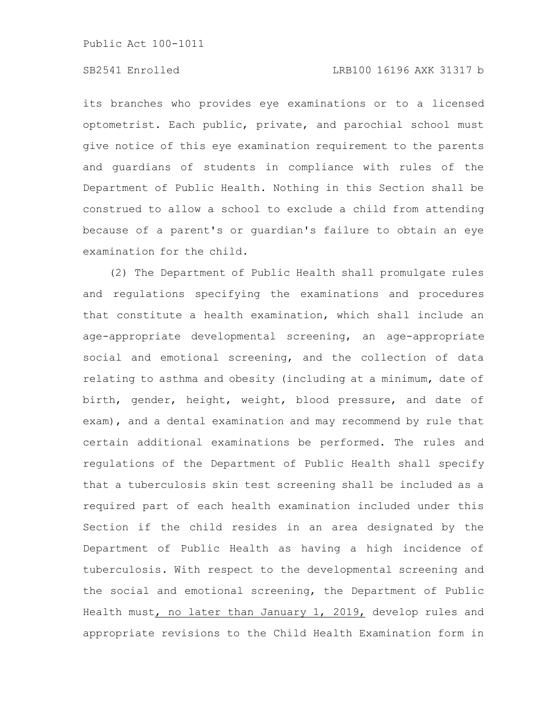# SB2541 Enrolled LRB100 16196 AXK 31317 b

its branches who provides eye examinations or to a licensed optometrist. Each public, private, and parochial school must give notice of this eye examination requirement to the parents and guardians of students in compliance with rules of the Department of Public Health. Nothing in this Section shall be construed to allow a school to exclude a child from attending because of a parent's or guardian's failure to obtain an eye examination for the child.

(2) The Department of Public Health shall promulgate rules and regulations specifying the examinations and procedures that constitute a health examination, which shall include an age-appropriate developmental screening, an age-appropriate social and emotional screening, and the collection of data relating to asthma and obesity (including at a minimum, date of birth, gender, height, weight, blood pressure, and date of exam), and a dental examination and may recommend by rule that certain additional examinations be performed. The rules and regulations of the Department of Public Health shall specify that a tuberculosis skin test screening shall be included as a required part of each health examination included under this Section if the child resides in an area designated by the Department of Public Health as having a high incidence of tuberculosis. With respect to the developmental screening and the social and emotional screening, the Department of Public Health must, no later than January 1, 2019, develop rules and appropriate revisions to the Child Health Examination form in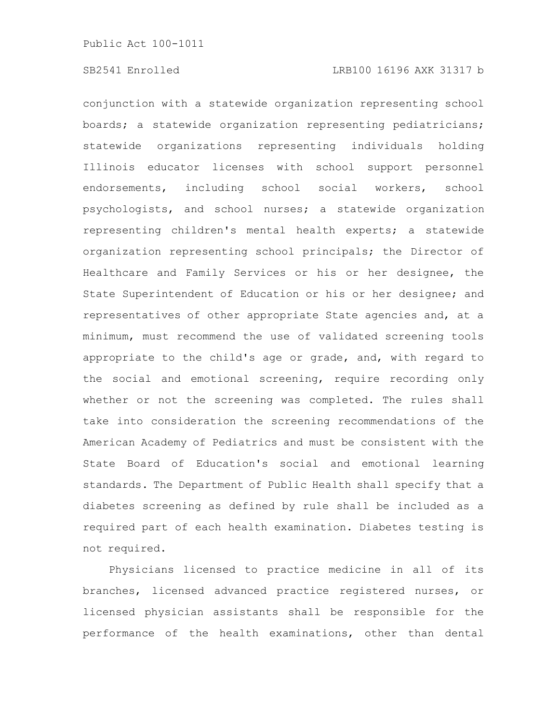conjunction with a statewide organization representing school boards; a statewide organization representing pediatricians; statewide organizations representing individuals holding Illinois educator licenses with school support personnel endorsements, including school social workers, school psychologists, and school nurses; a statewide organization representing children's mental health experts; a statewide organization representing school principals; the Director of Healthcare and Family Services or his or her designee, the State Superintendent of Education or his or her designee; and representatives of other appropriate State agencies and, at a minimum, must recommend the use of validated screening tools appropriate to the child's age or grade, and, with regard to the social and emotional screening, require recording only whether or not the screening was completed. The rules shall take into consideration the screening recommendations of the American Academy of Pediatrics and must be consistent with the State Board of Education's social and emotional learning standards. The Department of Public Health shall specify that a diabetes screening as defined by rule shall be included as a required part of each health examination. Diabetes testing is not required.

Physicians licensed to practice medicine in all of its branches, licensed advanced practice registered nurses, or licensed physician assistants shall be responsible for the performance of the health examinations, other than dental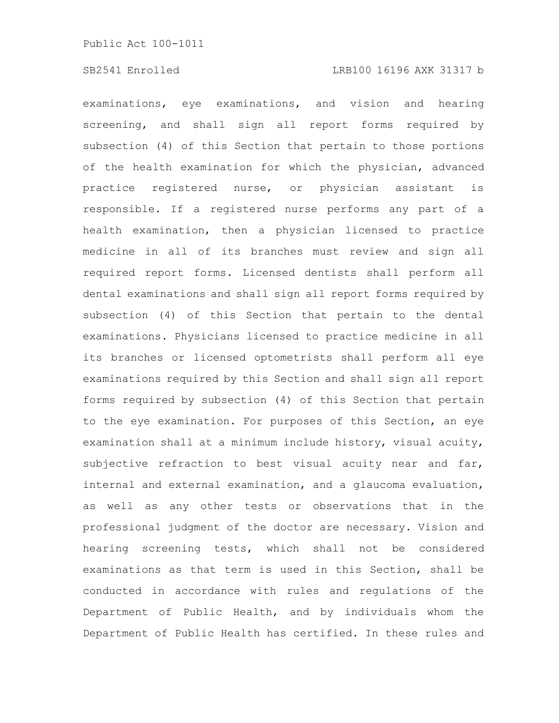examinations, eye examinations, and vision and hearing screening, and shall sign all report forms required by subsection (4) of this Section that pertain to those portions of the health examination for which the physician, advanced practice registered nurse, or physician assistant is responsible. If a registered nurse performs any part of a health examination, then a physician licensed to practice medicine in all of its branches must review and sign all required report forms. Licensed dentists shall perform all dental examinations and shall sign all report forms required by subsection (4) of this Section that pertain to the dental examinations. Physicians licensed to practice medicine in all its branches or licensed optometrists shall perform all eye examinations required by this Section and shall sign all report forms required by subsection (4) of this Section that pertain to the eye examination. For purposes of this Section, an eye examination shall at a minimum include history, visual acuity, subjective refraction to best visual acuity near and far, internal and external examination, and a glaucoma evaluation, as well as any other tests or observations that in the professional judgment of the doctor are necessary. Vision and hearing screening tests, which shall not be considered examinations as that term is used in this Section, shall be conducted in accordance with rules and regulations of the Department of Public Health, and by individuals whom the Department of Public Health has certified. In these rules and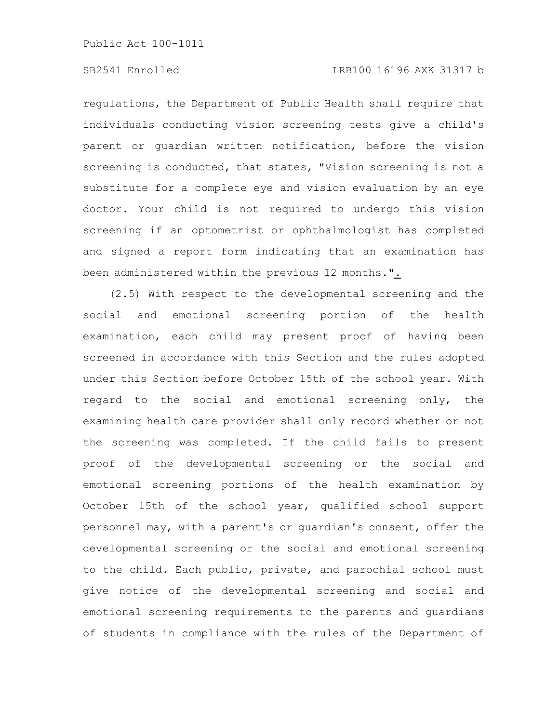# SB2541 Enrolled LRB100 16196 AXK 31317 b

regulations, the Department of Public Health shall require that individuals conducting vision screening tests give a child's parent or guardian written notification, before the vision screening is conducted, that states, "Vision screening is not a substitute for a complete eye and vision evaluation by an eye doctor. Your child is not required to undergo this vision screening if an optometrist or ophthalmologist has completed and signed a report form indicating that an examination has been administered within the previous 12 months.".

(2.5) With respect to the developmental screening and the social and emotional screening portion of the health examination, each child may present proof of having been screened in accordance with this Section and the rules adopted under this Section before October 15th of the school year. With regard to the social and emotional screening only, the examining health care provider shall only record whether or not the screening was completed. If the child fails to present proof of the developmental screening or the social and emotional screening portions of the health examination by October 15th of the school year, qualified school support personnel may, with a parent's or guardian's consent, offer the developmental screening or the social and emotional screening to the child. Each public, private, and parochial school must give notice of the developmental screening and social and emotional screening requirements to the parents and guardians of students in compliance with the rules of the Department of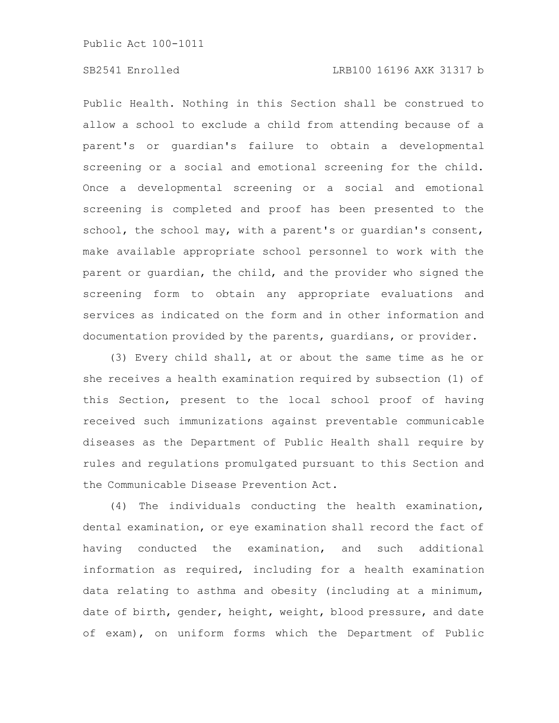Public Health. Nothing in this Section shall be construed to allow a school to exclude a child from attending because of a parent's or guardian's failure to obtain a developmental screening or a social and emotional screening for the child. Once a developmental screening or a social and emotional screening is completed and proof has been presented to the school, the school may, with a parent's or quardian's consent, make available appropriate school personnel to work with the parent or guardian, the child, and the provider who signed the screening form to obtain any appropriate evaluations and services as indicated on the form and in other information and documentation provided by the parents, guardians, or provider.

(3) Every child shall, at or about the same time as he or she receives a health examination required by subsection (1) of this Section, present to the local school proof of having received such immunizations against preventable communicable diseases as the Department of Public Health shall require by rules and regulations promulgated pursuant to this Section and the Communicable Disease Prevention Act.

(4) The individuals conducting the health examination, dental examination, or eye examination shall record the fact of having conducted the examination, and such additional information as required, including for a health examination data relating to asthma and obesity (including at a minimum, date of birth, gender, height, weight, blood pressure, and date of exam), on uniform forms which the Department of Public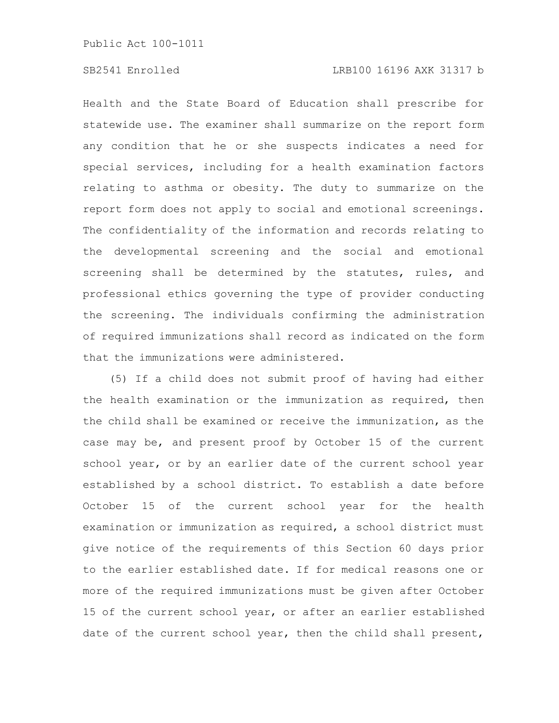Health and the State Board of Education shall prescribe for statewide use. The examiner shall summarize on the report form any condition that he or she suspects indicates a need for special services, including for a health examination factors relating to asthma or obesity. The duty to summarize on the report form does not apply to social and emotional screenings. The confidentiality of the information and records relating to the developmental screening and the social and emotional screening shall be determined by the statutes, rules, and professional ethics governing the type of provider conducting the screening. The individuals confirming the administration of required immunizations shall record as indicated on the form that the immunizations were administered.

(5) If a child does not submit proof of having had either the health examination or the immunization as required, then the child shall be examined or receive the immunization, as the case may be, and present proof by October 15 of the current school year, or by an earlier date of the current school year established by a school district. To establish a date before October 15 of the current school year for the health examination or immunization as required, a school district must give notice of the requirements of this Section 60 days prior to the earlier established date. If for medical reasons one or more of the required immunizations must be given after October 15 of the current school year, or after an earlier established date of the current school year, then the child shall present,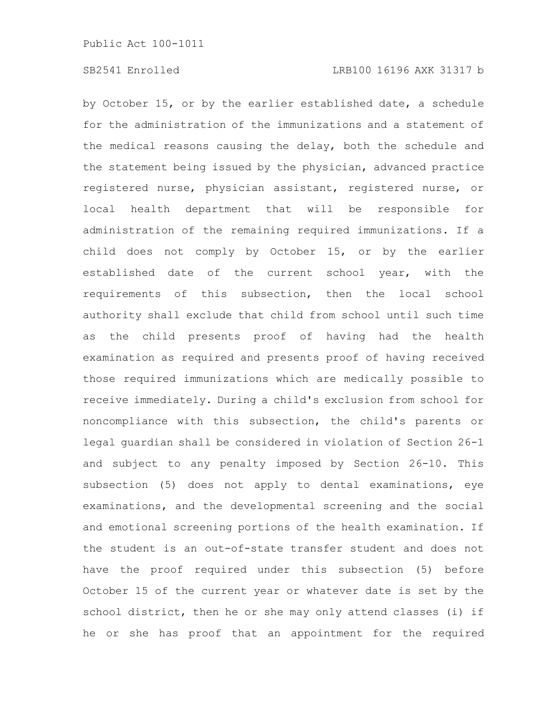by October 15, or by the earlier established date, a schedule for the administration of the immunizations and a statement of the medical reasons causing the delay, both the schedule and the statement being issued by the physician, advanced practice registered nurse, physician assistant, registered nurse, or local health department that will be responsible for administration of the remaining required immunizations. If a child does not comply by October 15, or by the earlier established date of the current school year, with the requirements of this subsection, then the local school authority shall exclude that child from school until such time as the child presents proof of having had the health examination as required and presents proof of having received those required immunizations which are medically possible to receive immediately. During a child's exclusion from school for noncompliance with this subsection, the child's parents or legal guardian shall be considered in violation of Section 26-1 and subject to any penalty imposed by Section 26-10. This subsection (5) does not apply to dental examinations, eye examinations, and the developmental screening and the social and emotional screening portions of the health examination. If the student is an out-of-state transfer student and does not have the proof required under this subsection (5) before October 15 of the current year or whatever date is set by the school district, then he or she may only attend classes (i) if he or she has proof that an appointment for the required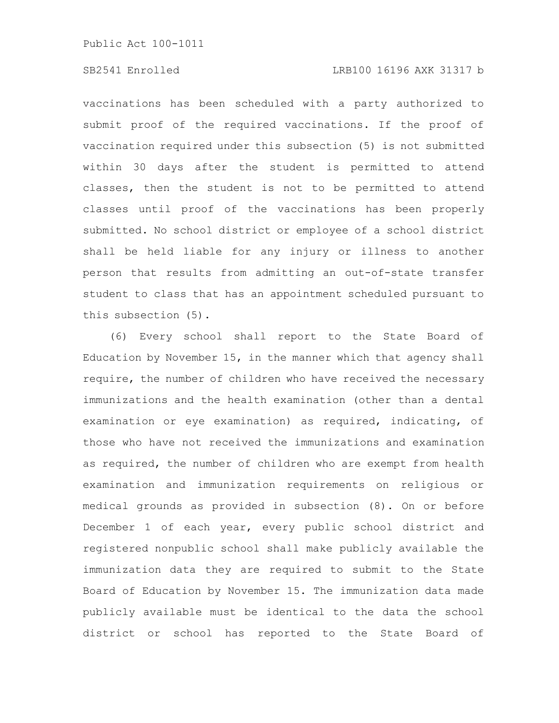### SB2541 Enrolled LRB100 16196 AXK 31317 b

vaccinations has been scheduled with a party authorized to submit proof of the required vaccinations. If the proof of vaccination required under this subsection (5) is not submitted within 30 days after the student is permitted to attend classes, then the student is not to be permitted to attend classes until proof of the vaccinations has been properly submitted. No school district or employee of a school district shall be held liable for any injury or illness to another person that results from admitting an out-of-state transfer student to class that has an appointment scheduled pursuant to this subsection (5).

(6) Every school shall report to the State Board of Education by November 15, in the manner which that agency shall require, the number of children who have received the necessary immunizations and the health examination (other than a dental examination or eye examination) as required, indicating, of those who have not received the immunizations and examination as required, the number of children who are exempt from health examination and immunization requirements on religious or medical grounds as provided in subsection (8). On or before December 1 of each year, every public school district and registered nonpublic school shall make publicly available the immunization data they are required to submit to the State Board of Education by November 15. The immunization data made publicly available must be identical to the data the school district or school has reported to the State Board of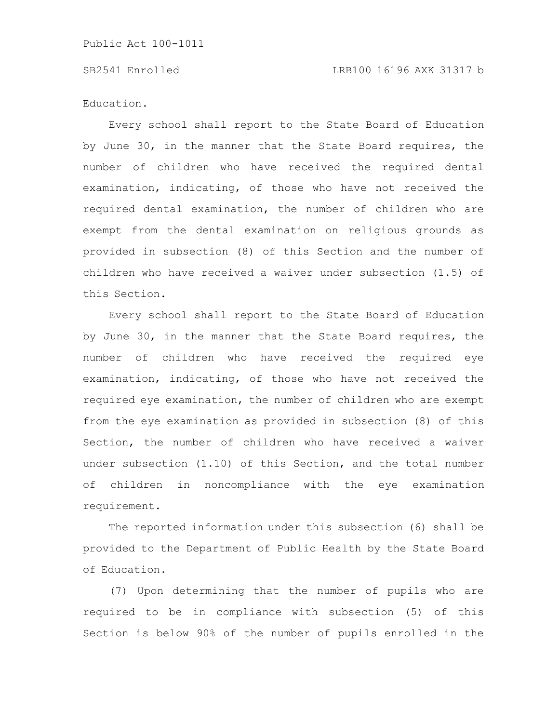Education.

Every school shall report to the State Board of Education by June 30, in the manner that the State Board requires, the number of children who have received the required dental examination, indicating, of those who have not received the required dental examination, the number of children who are exempt from the dental examination on religious grounds as provided in subsection (8) of this Section and the number of children who have received a waiver under subsection (1.5) of this Section.

Every school shall report to the State Board of Education by June 30, in the manner that the State Board requires, the number of children who have received the required eye examination, indicating, of those who have not received the required eye examination, the number of children who are exempt from the eye examination as provided in subsection (8) of this Section, the number of children who have received a waiver under subsection (1.10) of this Section, and the total number of children in noncompliance with the eye examination requirement.

The reported information under this subsection (6) shall be provided to the Department of Public Health by the State Board of Education.

(7) Upon determining that the number of pupils who are required to be in compliance with subsection (5) of this Section is below 90% of the number of pupils enrolled in the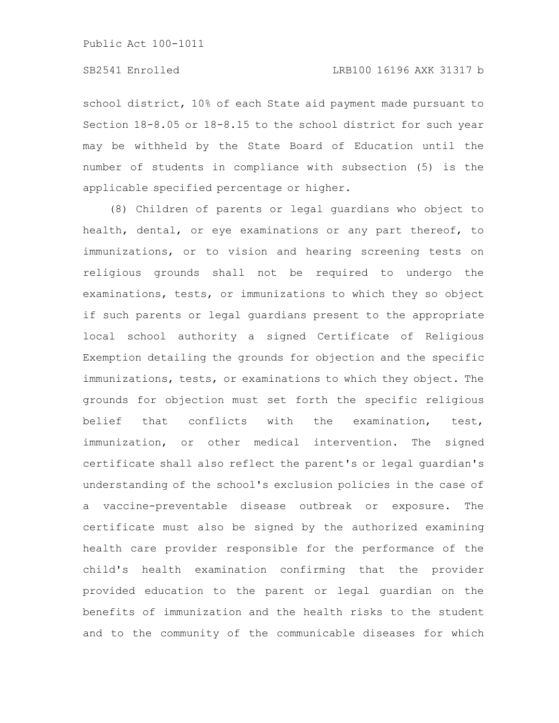school district, 10% of each State aid payment made pursuant to Section 18-8.05 or 18-8.15 to the school district for such year may be withheld by the State Board of Education until the number of students in compliance with subsection (5) is the applicable specified percentage or higher.

(8) Children of parents or legal guardians who object to health, dental, or eye examinations or any part thereof, to immunizations, or to vision and hearing screening tests on religious grounds shall not be required to undergo the examinations, tests, or immunizations to which they so object if such parents or legal guardians present to the appropriate local school authority a signed Certificate of Religious Exemption detailing the grounds for objection and the specific immunizations, tests, or examinations to which they object. The grounds for objection must set forth the specific religious belief that conflicts with the examination, test, immunization, or other medical intervention. The signed certificate shall also reflect the parent's or legal guardian's understanding of the school's exclusion policies in the case of a vaccine-preventable disease outbreak or exposure. The certificate must also be signed by the authorized examining health care provider responsible for the performance of the child's health examination confirming that the provider provided education to the parent or legal guardian on the benefits of immunization and the health risks to the student and to the community of the communicable diseases for which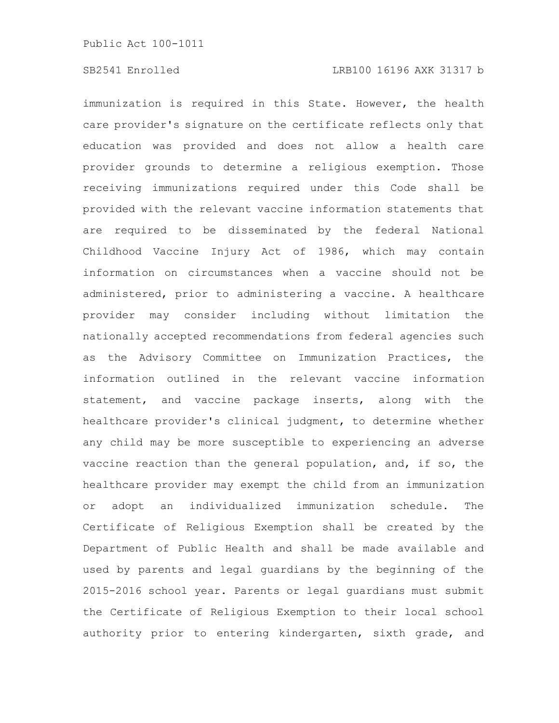immunization is required in this State. However, the health care provider's signature on the certificate reflects only that education was provided and does not allow a health care provider grounds to determine a religious exemption. Those receiving immunizations required under this Code shall be provided with the relevant vaccine information statements that are required to be disseminated by the federal National Childhood Vaccine Injury Act of 1986, which may contain information on circumstances when a vaccine should not be administered, prior to administering a vaccine. A healthcare provider may consider including without limitation the nationally accepted recommendations from federal agencies such as the Advisory Committee on Immunization Practices, the information outlined in the relevant vaccine information statement, and vaccine package inserts, along with the healthcare provider's clinical judgment, to determine whether any child may be more susceptible to experiencing an adverse vaccine reaction than the general population, and, if so, the healthcare provider may exempt the child from an immunization or adopt an individualized immunization schedule. The Certificate of Religious Exemption shall be created by the Department of Public Health and shall be made available and used by parents and legal guardians by the beginning of the 2015-2016 school year. Parents or legal guardians must submit the Certificate of Religious Exemption to their local school authority prior to entering kindergarten, sixth grade, and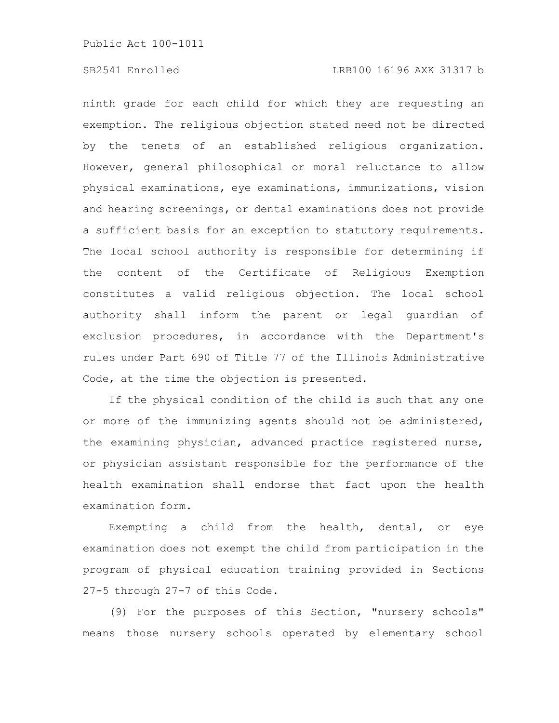### SB2541 Enrolled LRB100 16196 AXK 31317 b

ninth grade for each child for which they are requesting an exemption. The religious objection stated need not be directed by the tenets of an established religious organization. However, general philosophical or moral reluctance to allow physical examinations, eye examinations, immunizations, vision and hearing screenings, or dental examinations does not provide a sufficient basis for an exception to statutory requirements. The local school authority is responsible for determining if the content of the Certificate of Religious Exemption constitutes a valid religious objection. The local school authority shall inform the parent or legal guardian of exclusion procedures, in accordance with the Department's rules under Part 690 of Title 77 of the Illinois Administrative Code, at the time the objection is presented.

If the physical condition of the child is such that any one or more of the immunizing agents should not be administered, the examining physician, advanced practice registered nurse, or physician assistant responsible for the performance of the health examination shall endorse that fact upon the health examination form.

Exempting a child from the health, dental, or eye examination does not exempt the child from participation in the program of physical education training provided in Sections 27-5 through 27-7 of this Code.

(9) For the purposes of this Section, "nursery schools" means those nursery schools operated by elementary school